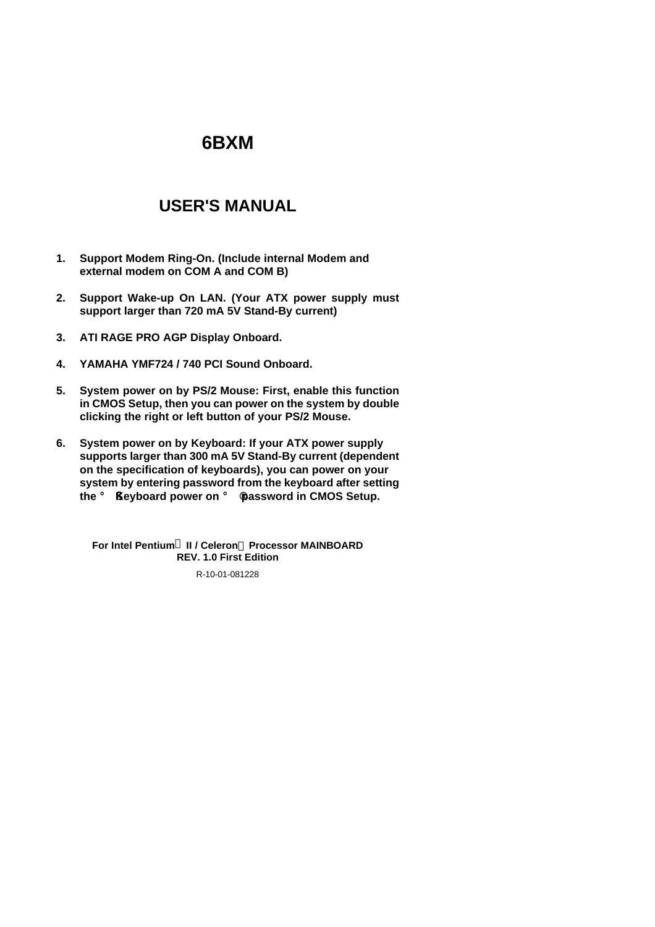# **6BXM**

## **USER'S MANUAL**

- **1. Support Modem Ring-On. (Include internal Modem and external modem on COM A and COM B)**
- **2. Support Wake-up On LAN. (Your ATX power supply must support larger than 720 mA 5V Stand-By current)**
- **3. ATI RAGE PRO AGP Display Onboard.**
- **4. YAMAHA YMF724 / 740 PCI Sound Onboard.**
- **5. System power on by PS/2 Mouse: First, enable this function in CMOS Setup, then you can power on the system by double clicking the right or left button of your PS/2 Mouse.**
- **6. System power on by Keyboard: If your ATX power supply supports larger than 300 mA 5V Stand-By current (dependent on the specification of keyboards), you can power on your system by entering password from the keyboard after setting the** ¡ §**Keyboard power on** ¡ ¨ **password in CMOS Setup.**

**For Intel Pentium a II / Celeron™ Processor MAINBOARD REV. 1.0 First Edition**

R-10-01-081228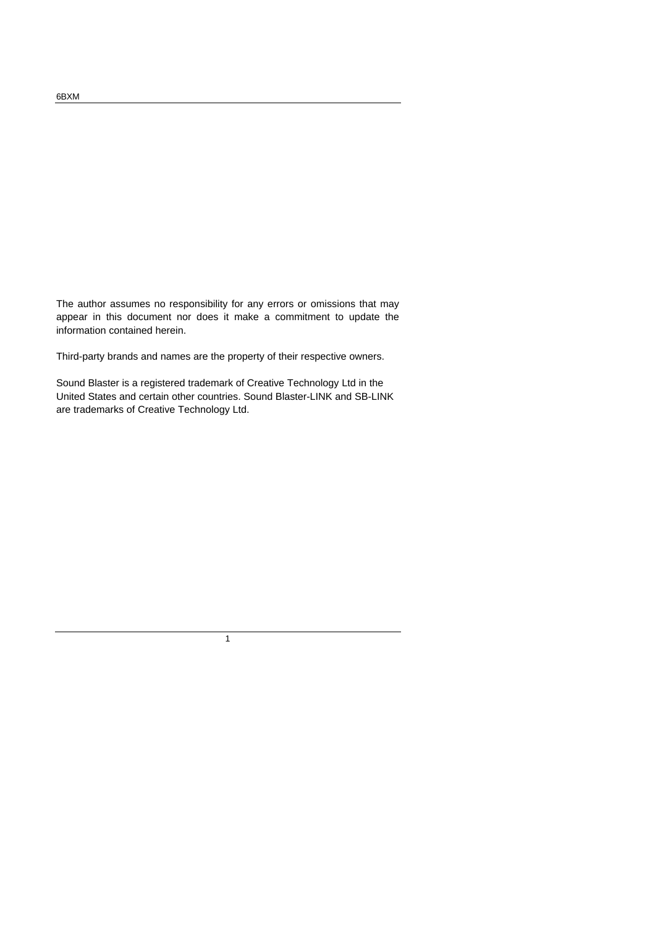The author assumes no responsibility for any errors or omissions that may appear in this document nor does it make a commitment to update the information contained herein.

Third-party brands and names are the property of their respective owners.

Sound Blaster is a registered trademark of Creative Technology Ltd in the United States and certain other countries. Sound Blaster-LINK and SB-LINK are trademarks of Creative Technology Ltd.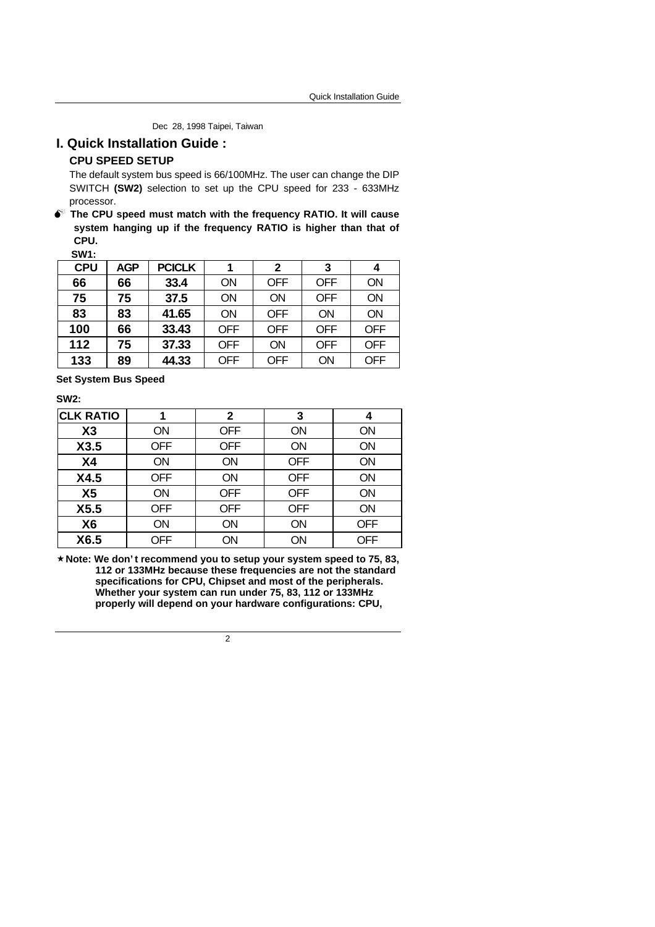Dec 28, 1998 Taipei, Taiwan

## **I. Quick Installation Guide :**

#### **CPU SPEED SETUP**

The default system bus speed is 66/100MHz. The user can change the DIP SWITCH **(SW2)** selection to set up the CPU speed for 233 - 633MHz processor.

 $\bullet$ <sup>\*</sup> The CPU speed must match with the frequency RATIO. It will cause **system hanging up if the frequency RATIO is higher than that of CPU.**

**SW1:**

| <b>CPU</b> | <b>AGP</b> | <b>PCICLK</b> |            | 2          | 3          | 4          |
|------------|------------|---------------|------------|------------|------------|------------|
| 66         | 66         | 33.4          | ΟN         | <b>OFF</b> | <b>OFF</b> | <b>ON</b>  |
| 75         | 75         | 37.5          | ON         | ON         | <b>OFF</b> | <b>ON</b>  |
| 83         | 83         | 41.65         | ON         | <b>OFF</b> | <b>ON</b>  | <b>ON</b>  |
| 100        | 66         | 33.43         | <b>OFF</b> | <b>OFF</b> | <b>OFF</b> | <b>OFF</b> |
| 112        | 75         | 37.33         | <b>OFF</b> | ON         | <b>OFF</b> | <b>OFF</b> |
| 133        | 89         | 44.33         | <b>OFF</b> | <b>OFF</b> | ON         | <b>OFF</b> |

**Set System Bus Speed**

**SW2:**

| <b>CLK RATIO</b> |            | 2          | 3          | 4          |
|------------------|------------|------------|------------|------------|
| X3               | ON         | <b>OFF</b> | <b>ON</b>  | ON         |
| X3.5             | <b>OFF</b> | <b>OFF</b> | <b>ON</b>  | <b>ON</b>  |
| <b>X4</b>        | ON         | <b>ON</b>  | <b>OFF</b> | ON         |
| X4.5             | <b>OFF</b> | ON         | <b>OFF</b> | <b>ON</b>  |
| X <sub>5</sub>   | <b>ON</b>  | <b>OFF</b> | <b>OFF</b> | <b>ON</b>  |
| X5.5             | <b>OFF</b> | <b>OFF</b> | <b>OFF</b> | <b>ON</b>  |
| X <sub>6</sub>   | ON         | ON         | ON         | <b>OFF</b> |
| X6.5             | <b>OFF</b> | ΟN         | ON         | <b>OFF</b> |

**´Note: We don't recommend you to setup your system speed to 75, 83, 112 or 133MHz because these frequencies are not the standard specifications for CPU, Chipset and most of the peripherals. Whether your system can run under 75, 83, 112 or 133MHz properly will depend on your hardware configurations: CPU,**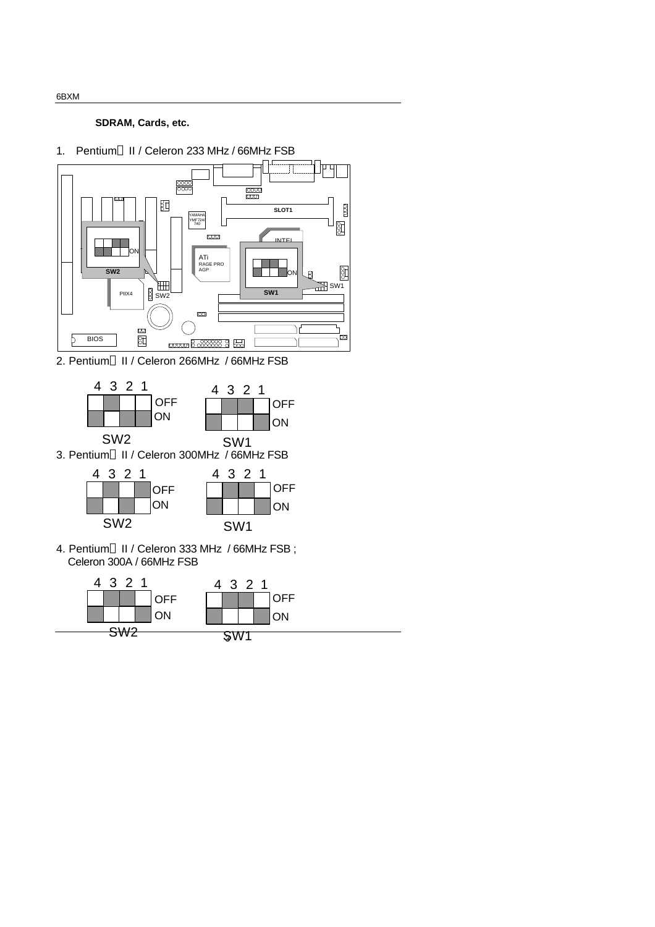**SDRAM, Cards, etc.**

1. Pentium<sup>®</sup> II / Celeron 233 MHz / 66MHz FSB



2. Pentium® II / Celeron 266MHz / 66MHz FSB



4. Pentium<sup>®</sup> II / Celeron 333 MHz / 66MHz FSB; Celeron 300A / 66MHz FSB



6BXM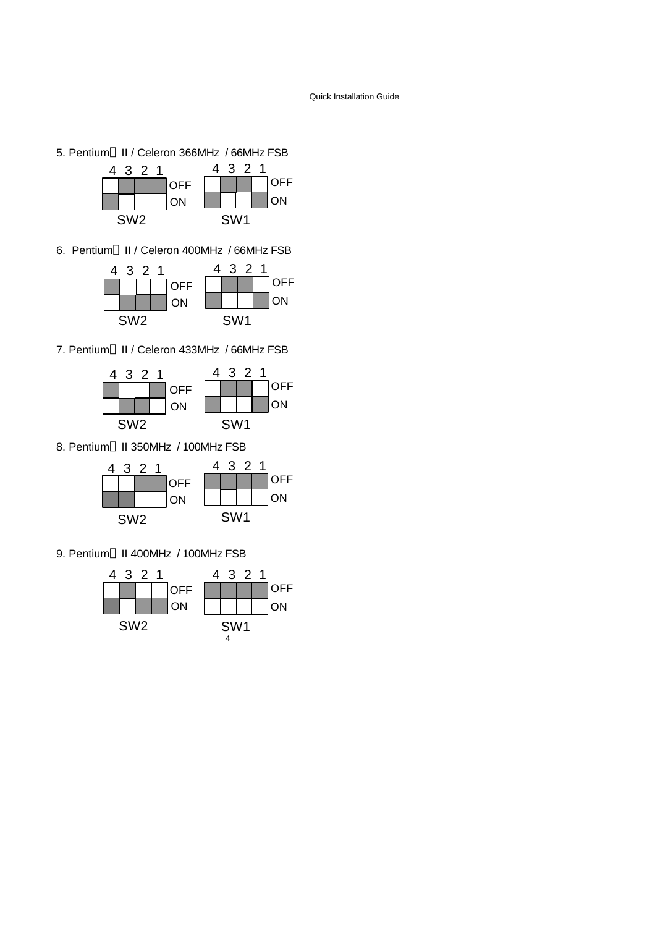5. Pentium<sup>®</sup> II / Celeron 366MHz / 66MHz FSB



6. Pentium® II / Celeron 400MHz / 66MHz FSB



7. Pentium<sup>®</sup> II / Celeron 433MHz / 66MHz FSB



8. Pentium® II 350MHz / 100MHz FSB

| 4               |  | 321 |                 |  | 321 |    |
|-----------------|--|-----|-----------------|--|-----|----|
|                 |  |     | <b>OFF</b>      |  |     | FF |
|                 |  |     | ON              |  |     | OΝ |
| SW <sub>2</sub> |  |     | SW <sub>1</sub> |  |     |    |

9. Pentium<sup>®</sup> II 400MHz / 100MHz FSB

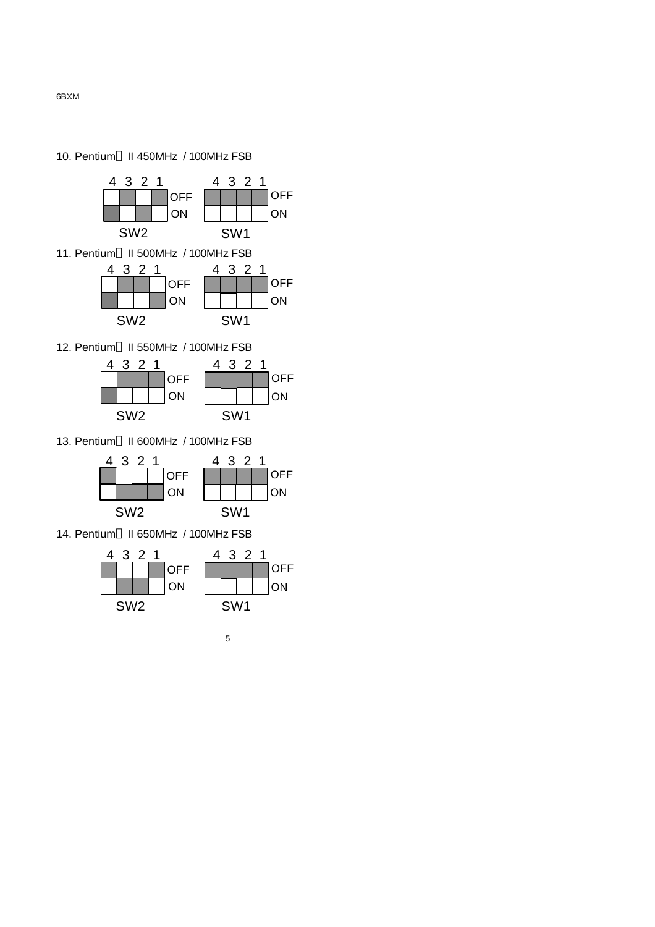10. Pentium® II 450MHz / 100MHz FSB

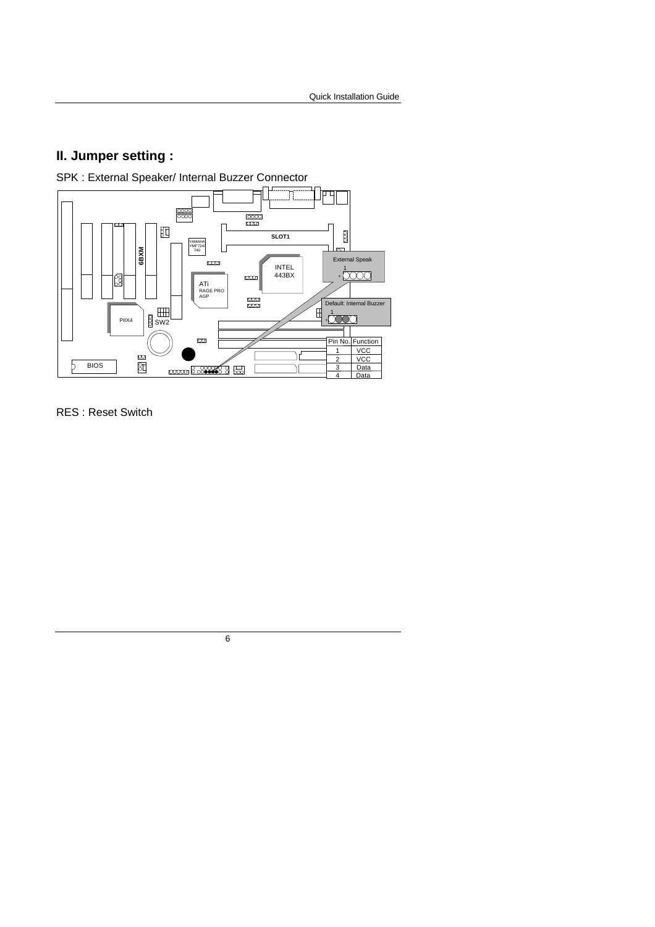# **II. Jumper setting :**

SPK : External Speaker/ Internal Buzzer Connector



RES : Reset Switch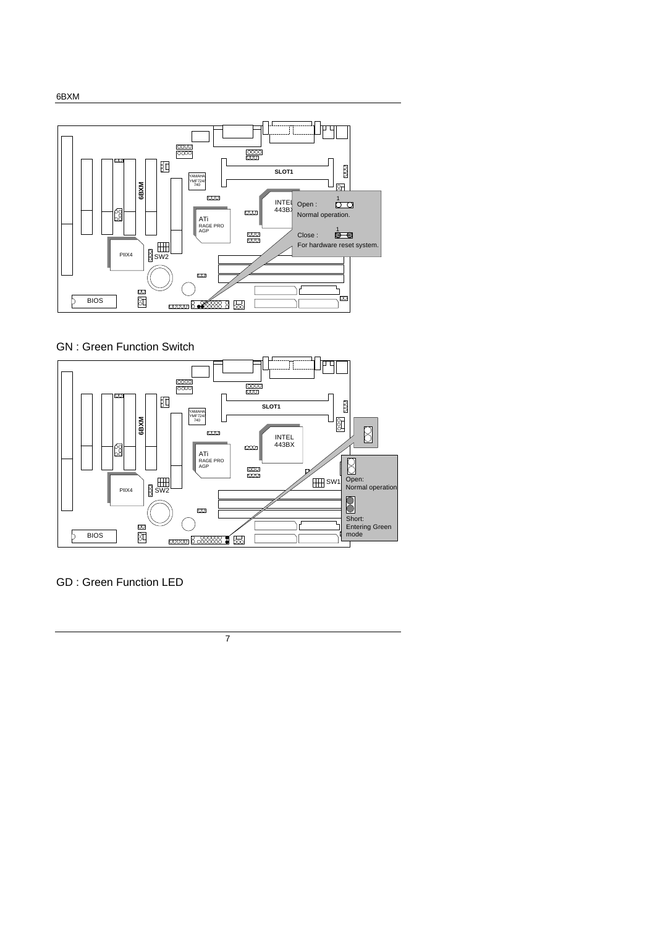



### GN : Green Function Switch



GD : Green Function LED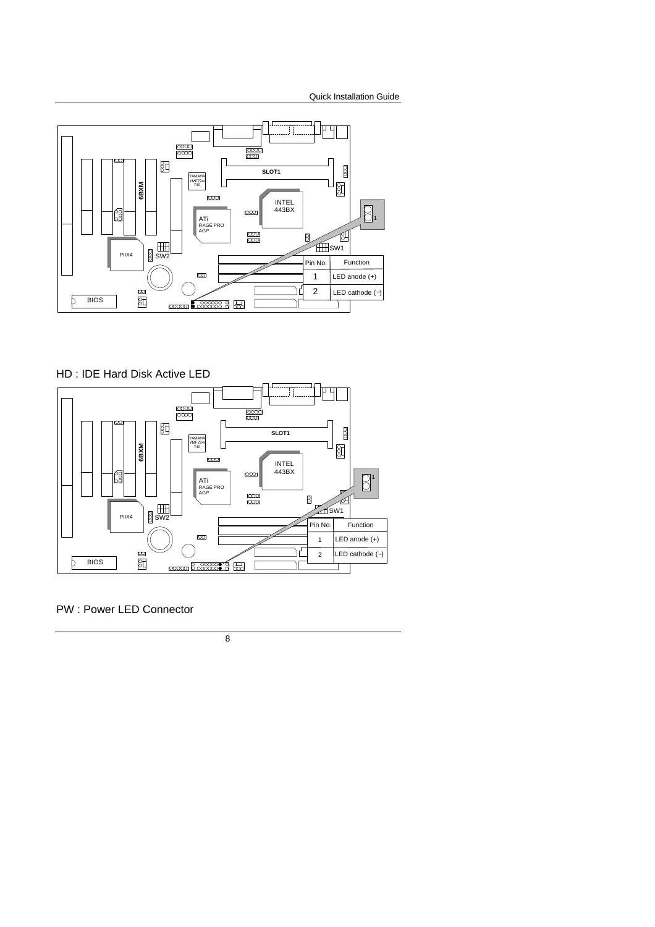

HD : IDE Hard Disk Active LED



PW : Power LED Connector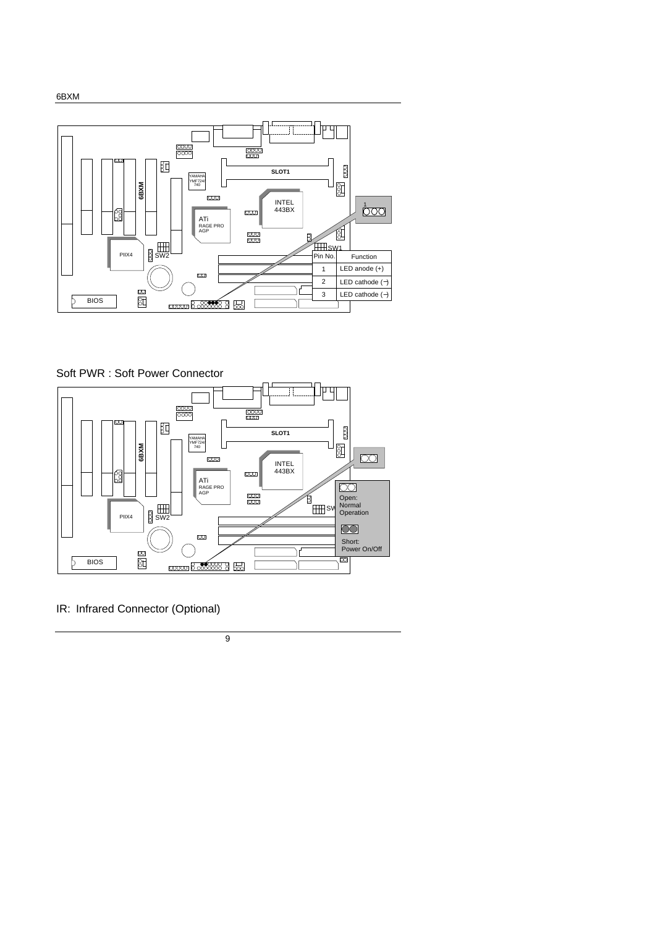

Soft PWR : Soft Power Connector



IR: Infrared Connector (Optional)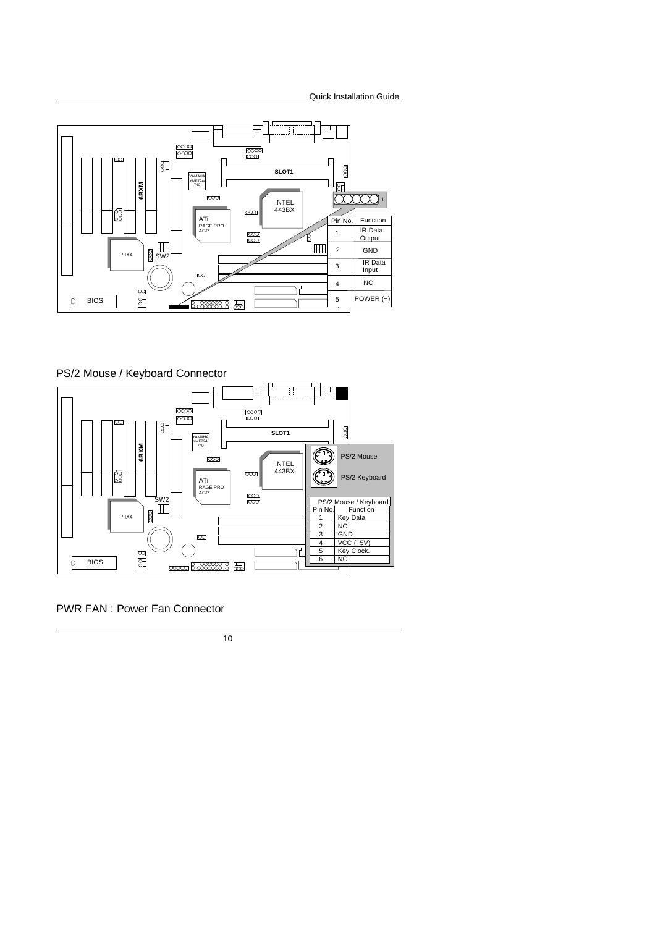

PS/2 Mouse / Keyboard Connector



PWR FAN : Power Fan Connector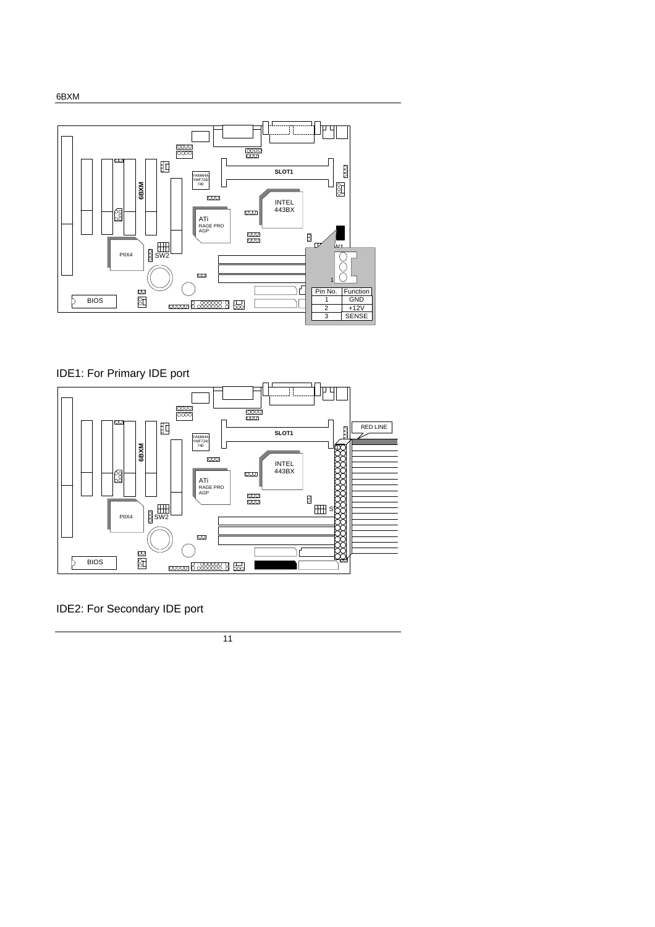

IDE1: For Primary IDE port



IDE2: For Secondary IDE port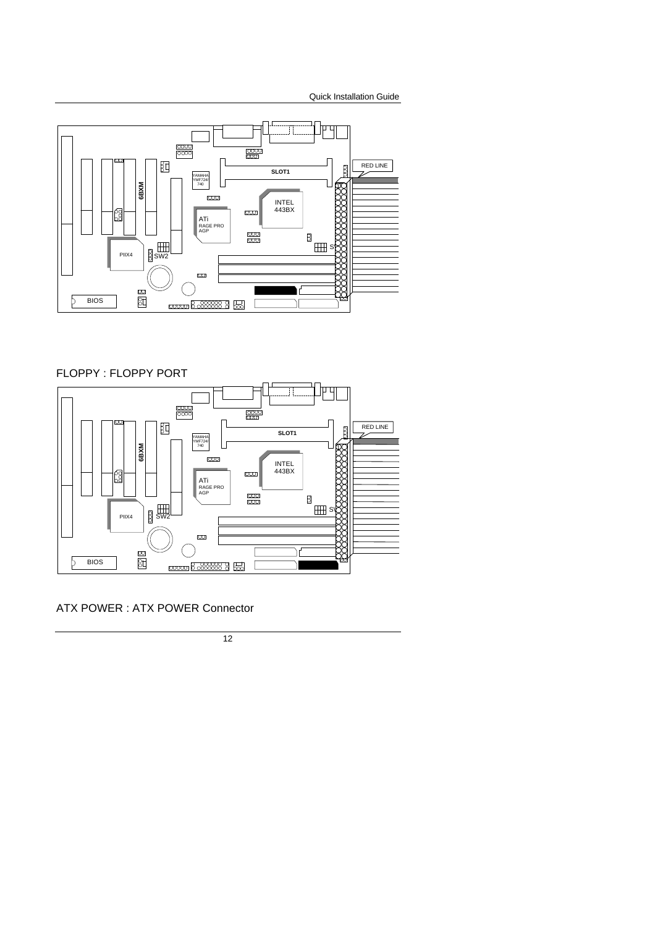

## FLOPPY : FLOPPY PORT



ATX POWER : ATX POWER Connector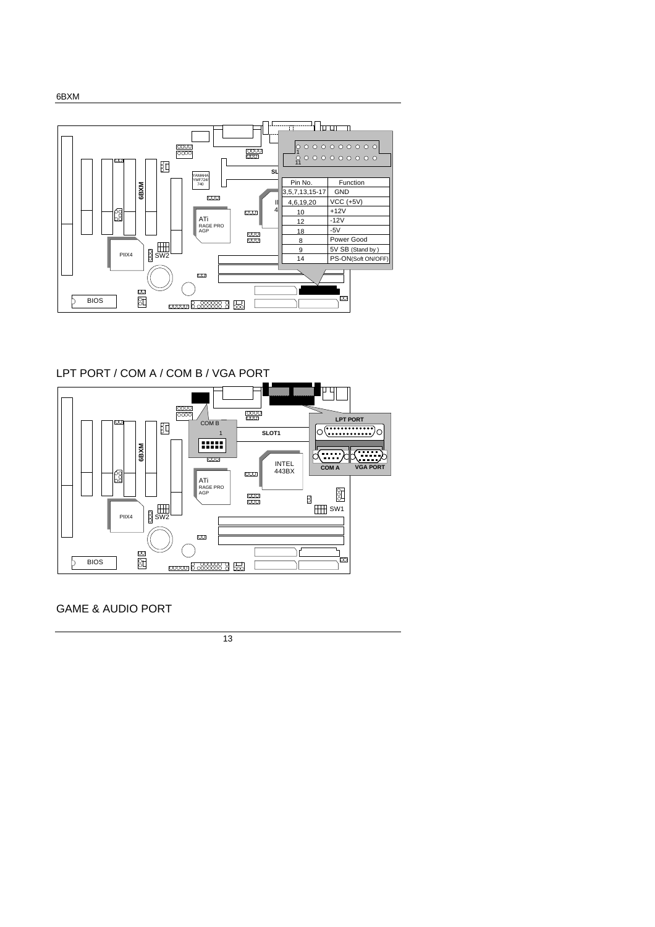

LPT PORT / COM A / COM B / VGA PORT



GAME & AUDIO PORT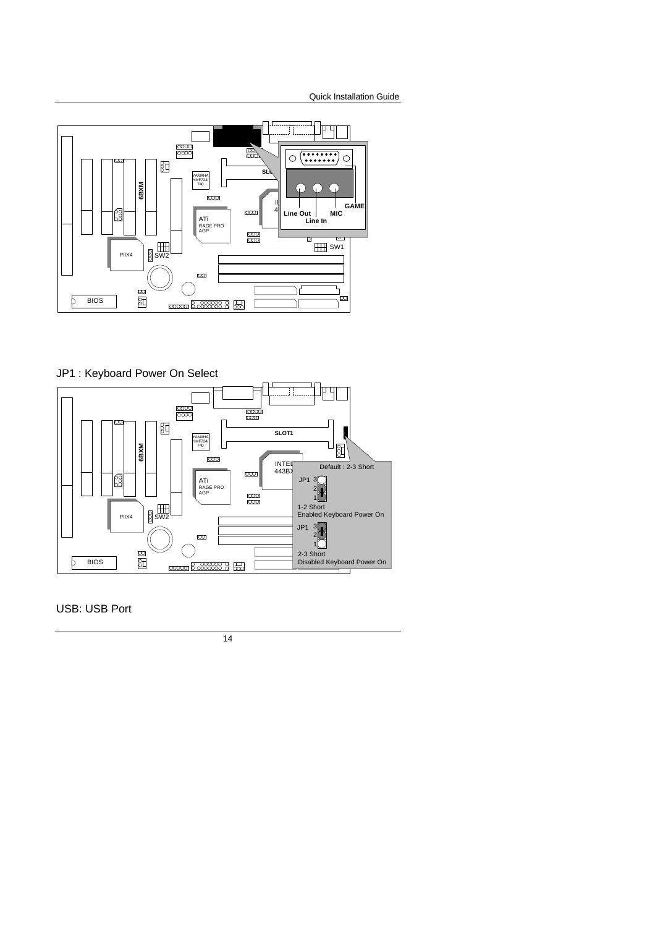

JP1 : Keyboard Power On Select



USB: USB Port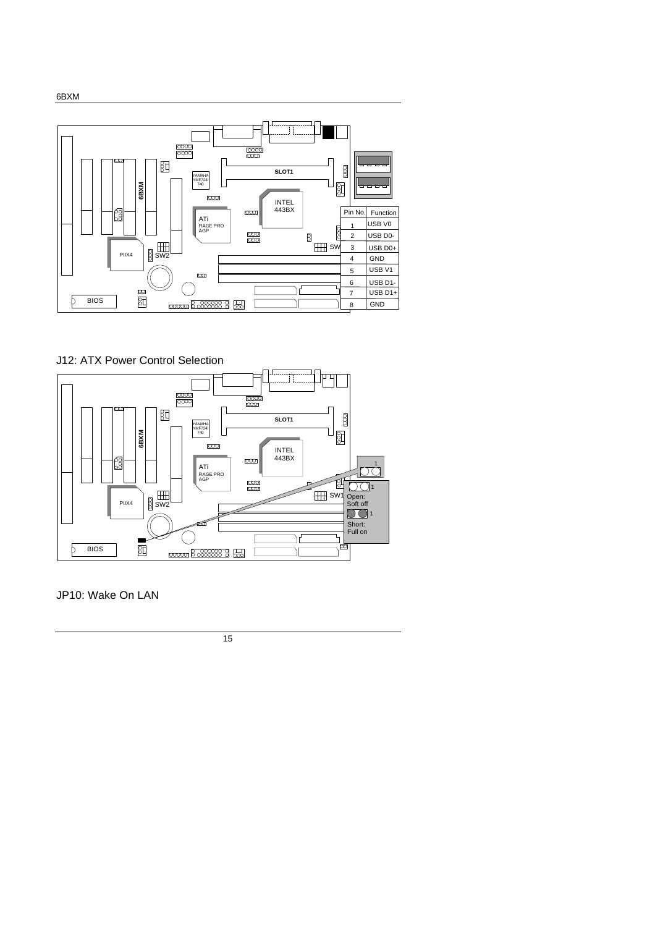

J12: ATX Power Control Selection



JP10: Wake On LAN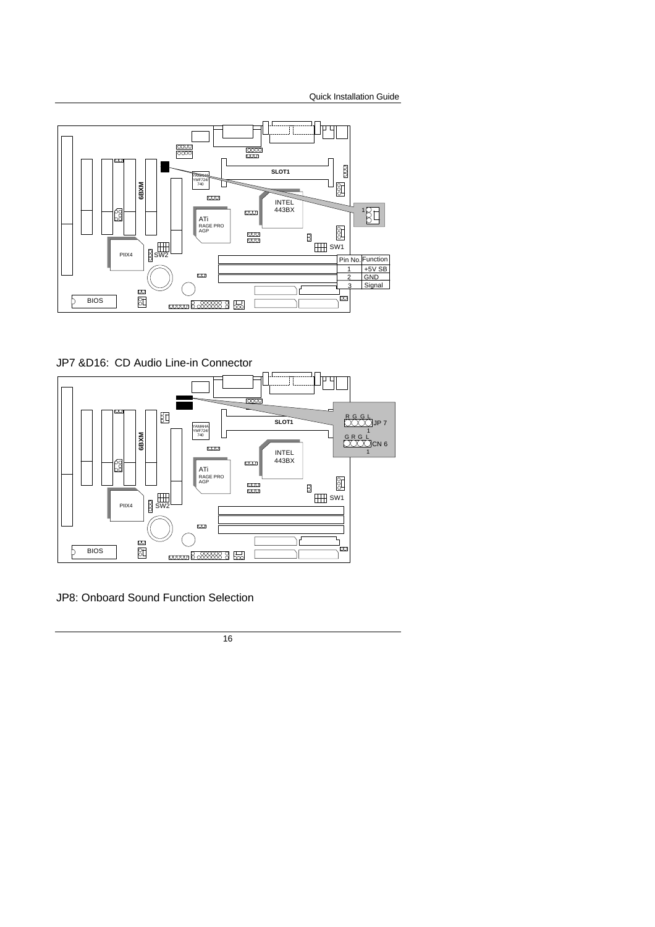

JP7 &D16: CD Audio Line-in Connector



JP8: Onboard Sound Function Selection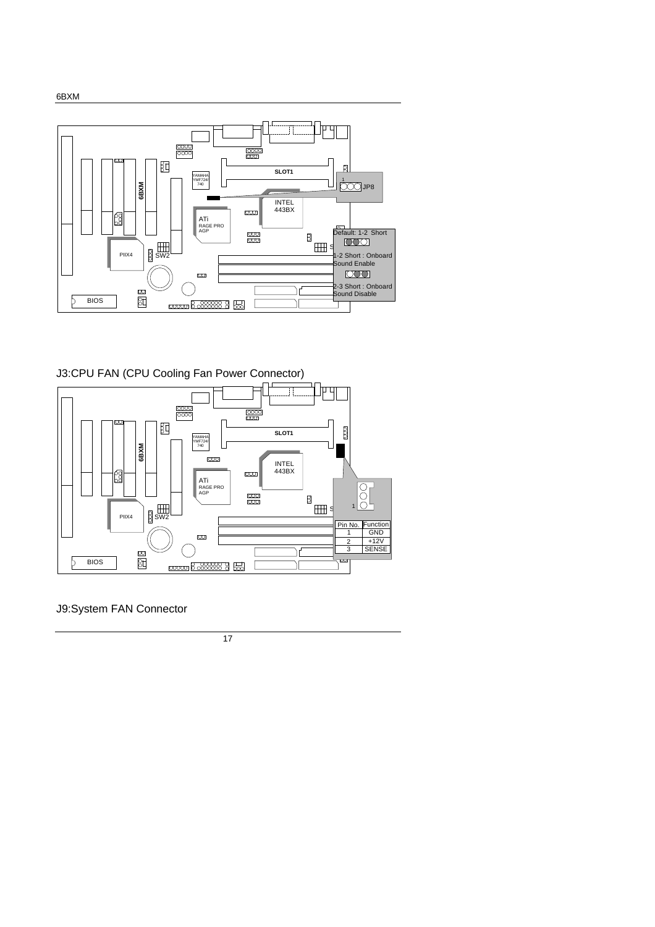

J3:CPU FAN (CPU Cooling Fan Power Connector)



J9:System FAN Connector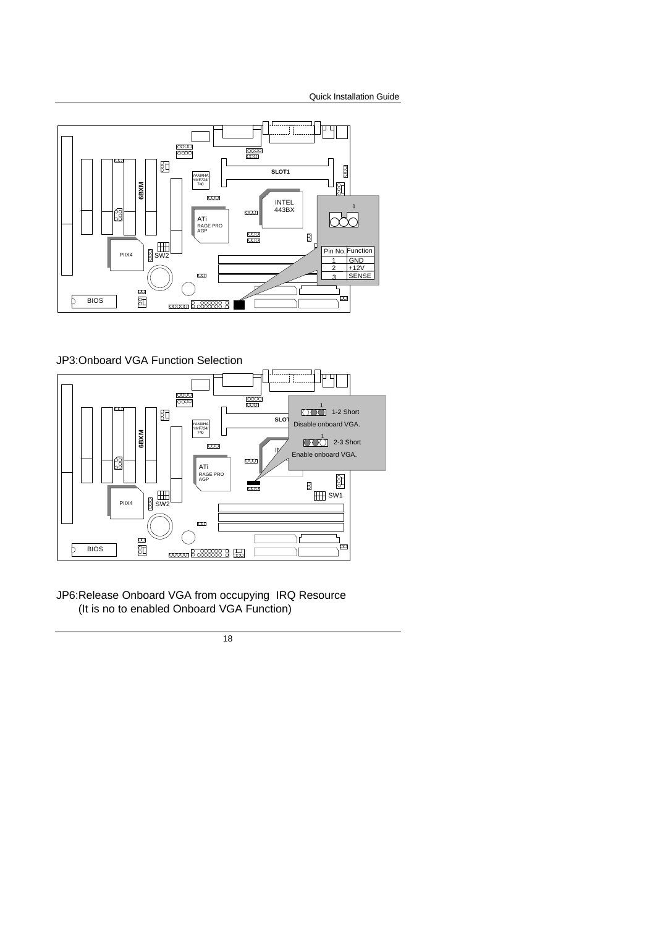

JP3:Onboard VGA Function Selection



JP6:Release Onboard VGA from occupying IRQ Resource (It is no to enabled Onboard VGA Function)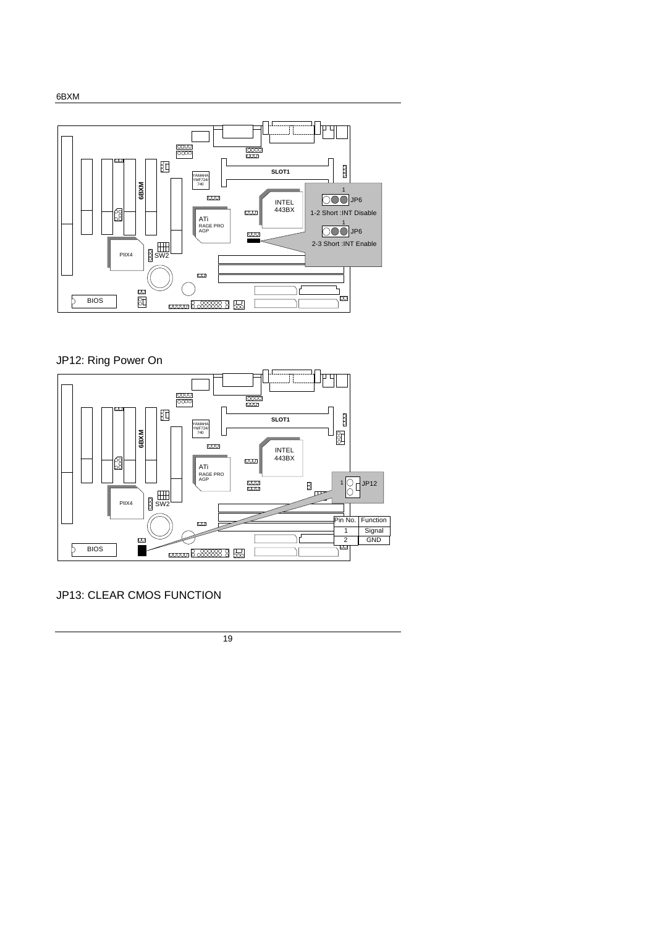

JP12: Ring Power On



JP13: CLEAR CMOS FUNCTION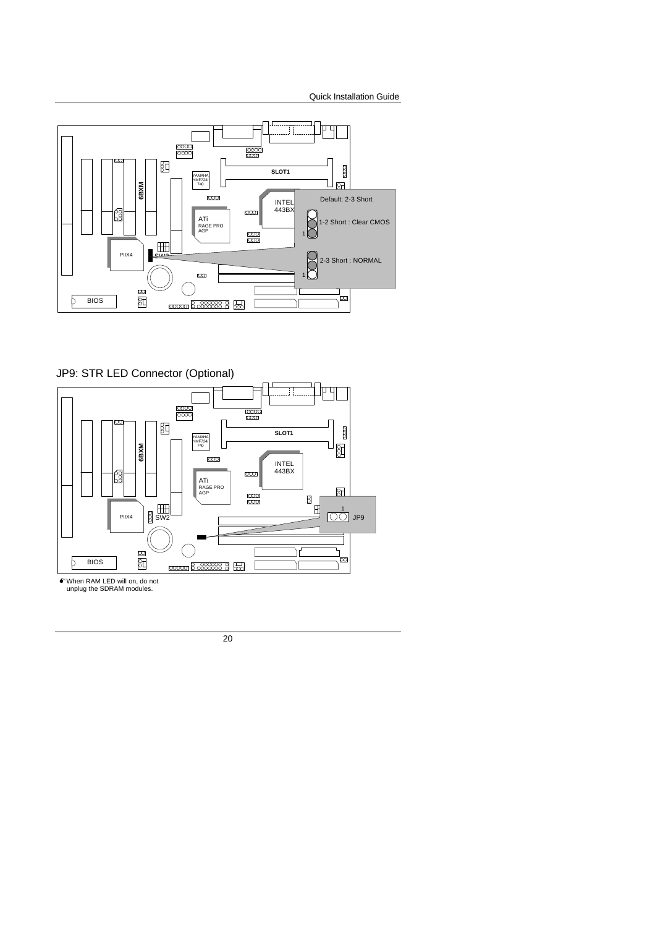

JP9: STR LED Connector (Optional)



MWhen RAM LED will on, do not unplug the SDRAM modules.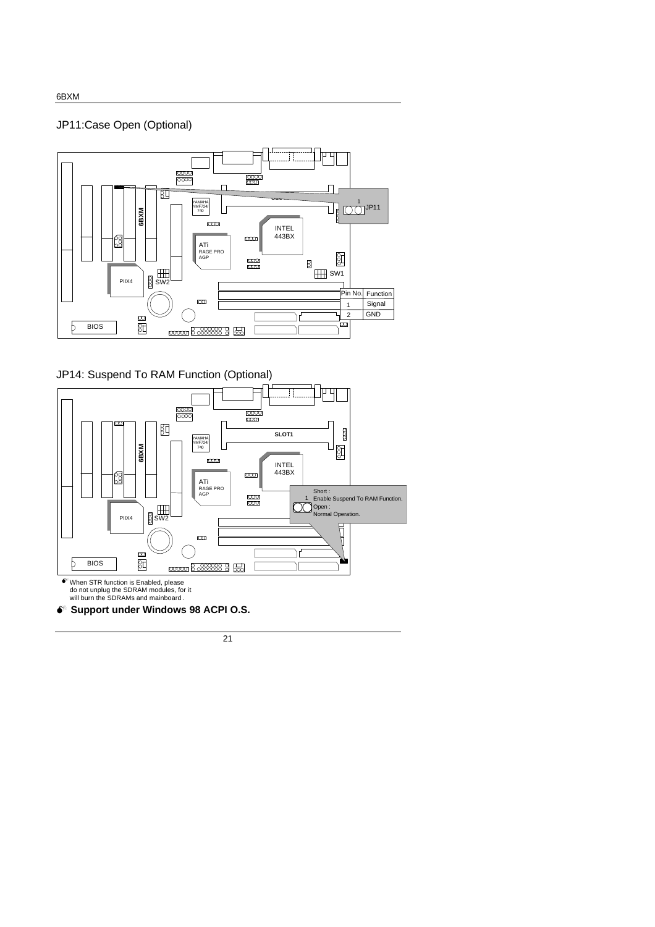6BXM

### JP11:Case Open (Optional)







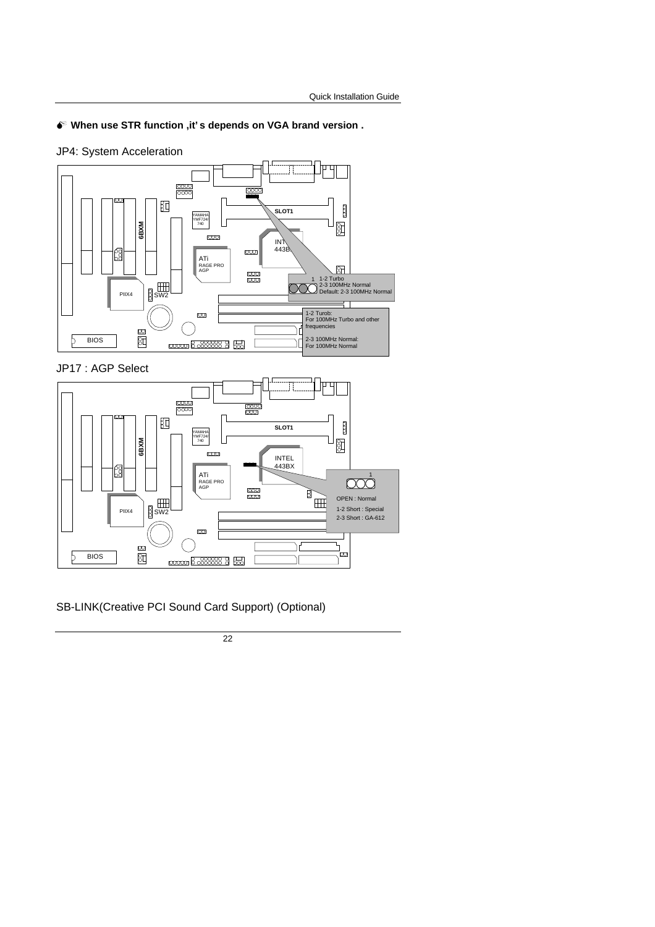## **M When use STR function ,it's depends on VGA brand version .**





JP17 : AGP Select



SB-LINK(Creative PCI Sound Card Support) (Optional)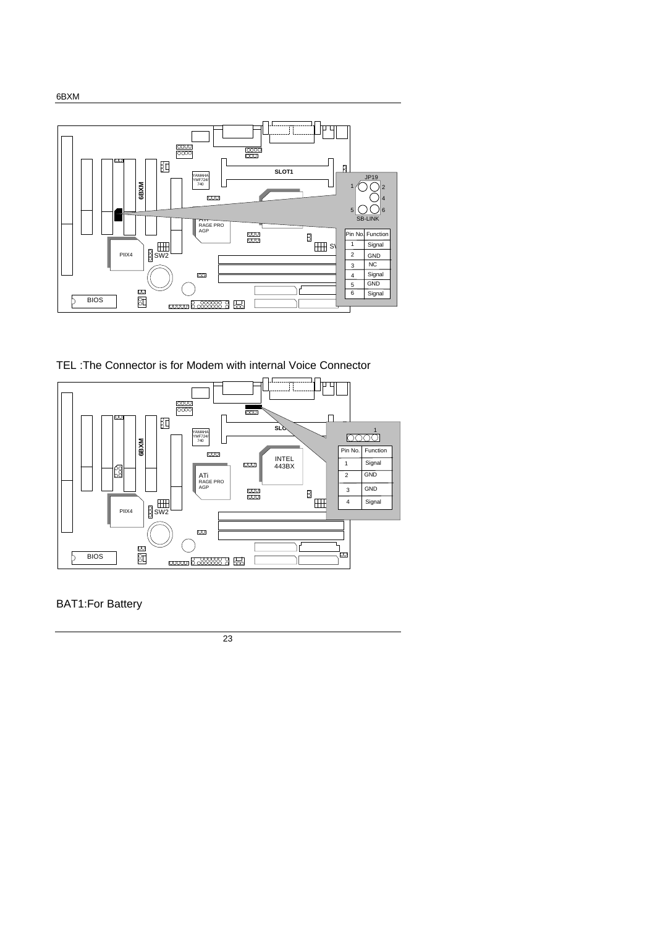

TEL :The Connector is for Modem with internal Voice Connector



## BAT1:For Battery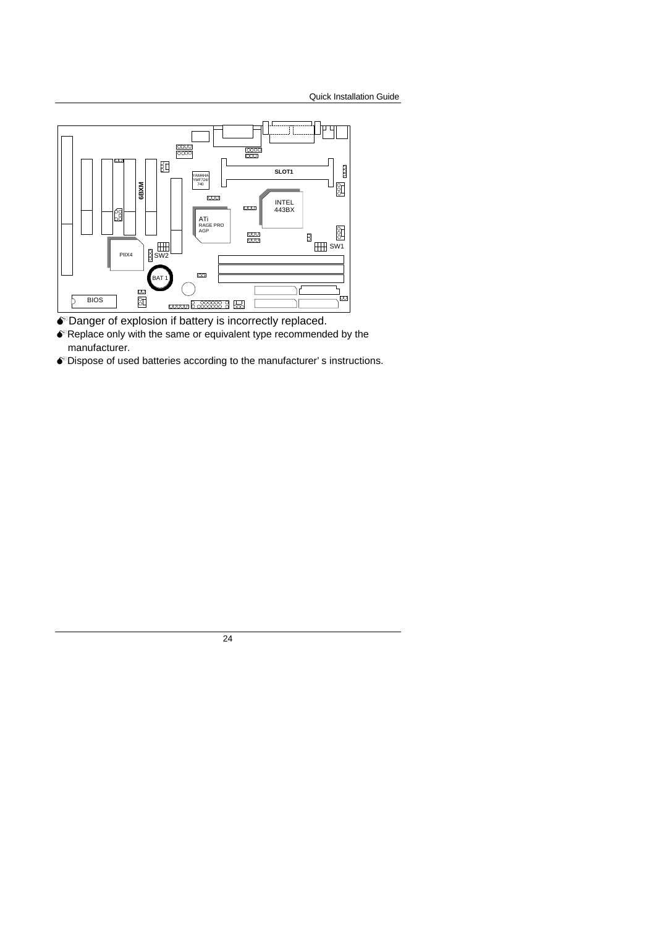

- $\bullet$  Danger of explosion if battery is incorrectly replaced.
- $\bullet$  Replace only with the same or equivalent type recommended by the manufacturer.
- $\bullet$  Dispose of used batteries according to the manufacturer's instructions.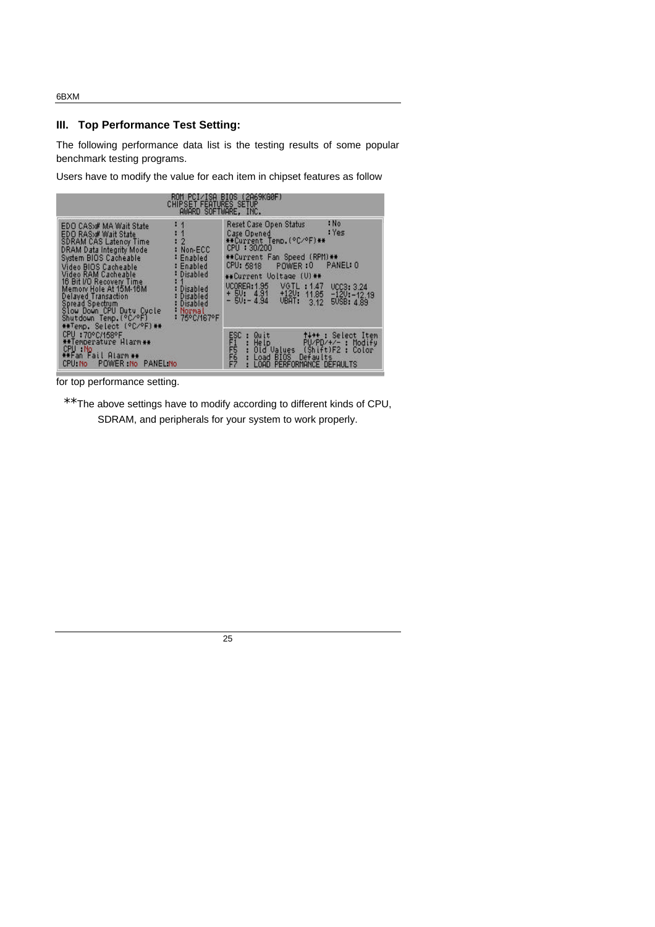6BXM

### **III. Top Performance Test Setting:**

The following performance data list is the testing results of some popular benchmark testing programs.

Users have to modify the value for each item in chipset features as follow

| ROM PCI∕ISA BIOS (2A69KG0F)<br>CHIPSET FEATURES SETUP<br>AWARD SOFTWARE, INC.                                                                                                                                                                                                                                                                                                                                                                                                                                                  |                                                                                                                                                                                                                                                                                                                                   |  |  |  |  |  |
|--------------------------------------------------------------------------------------------------------------------------------------------------------------------------------------------------------------------------------------------------------------------------------------------------------------------------------------------------------------------------------------------------------------------------------------------------------------------------------------------------------------------------------|-----------------------------------------------------------------------------------------------------------------------------------------------------------------------------------------------------------------------------------------------------------------------------------------------------------------------------------|--|--|--|--|--|
| $\frac{1}{2}$<br>EDO CAS:# MA Wait State<br>EDO RAS: Wait State<br>$\cdot$ 2<br><b>SDRAM CAS Latency Time</b><br>DRAM Data Integrity Mode<br>: Non-ECC<br>System BIOS Cacheable<br>: Enabled<br>: Enabled<br>Video BIOS Cacheable<br>Video RAM Cacheable<br>: Disabled<br>16 Bit I/O Recovery Time<br>m<br>Memory Hole At 15M-16M<br>: Disabled<br>: Disabled<br>Delayed Transaction<br>Spread Spectrum<br>Disabled<br>Normal<br>Slow Down CPU Duty Cycle<br>Shutdown Temp. (°C/°F)<br>175°C/167°F<br>**Temp. Select (°C/°F)** | : No.<br>Reset Case Open Status<br>: Yes<br>Case Opened<br>**Current Temp. (°C/°F)**<br>CPU: 30/200<br>**Current Fan Speed (RPM)**<br>POWER:0<br>PANEL: 0<br>CPU: 5818<br>**Current Voltage (U)**<br>VCOREA: 1.95 VGTL: 1.47<br>UCC3: 3.24<br>$+ 50$ : 4.91 +120: 11.85<br>- 50: - 4.94 0BAT: 3.12<br>$-120:-12.19$<br>5VSB: 4.89 |  |  |  |  |  |
| CPU : 70°C/158°F<br>**Temperature Hiarm**<br>CPU : No<br>**Fan Fail Alarm **<br>CPU: No POWER No<br><b>PANEL No</b>                                                                                                                                                                                                                                                                                                                                                                                                            | esc<br>Prophet<br>Prophet<br>Quit<br>1+++: Select Item<br>Help,<br>PU/PD/+/- : Modify<br>Old Values (Shift)F2 : Color<br>Load BIOS Defaults<br>LOAD PERFORMANCE DEFAULTS                                                                                                                                                          |  |  |  |  |  |

for top performance setting.

\*\*The above settings have to modify according to different kinds of CPU, SDRAM, and peripherals for your system to work properly.